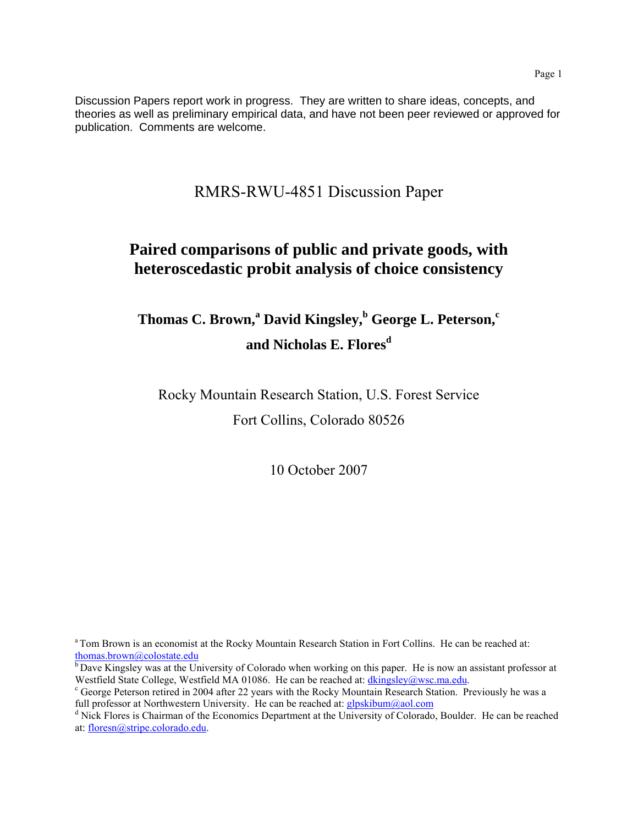Discussion Papers report work in progress. They are written to share ideas, concepts, and theories as well as preliminary empirical data, and have not been peer reviewed or approved for publication. Comments are welcome.

RMRS-RWU-4851 Discussion Paper

# **Paired comparisons of public and private goods, with heteroscedastic probit analysis of choice consistency**

**Thomas C. Brown,<sup>a</sup> David Kingsley,<sup>b</sup> George L. Peterson,<sup>c</sup> and Nicholas E. Flores<sup>d</sup>** 

Rocky Mountain Research Station, U.S. Forest Service Fort Collins, Colorado 80526

10 October 2007

<sup>a</sup> Tom Brown is an economist at the Rocky Mountain Research Station in Fort Collins. He can be reached at: thomas.brown@colostate.edu

b Dave Kingsley was at the University of Colorado when working on this paper. He is now an assistant professor at Westfield State College, Westfield MA 01086. He can be reached at: dkingsley@wsc.ma.edu.

George Peterson retired in 2004 after 22 years with the Rocky Mountain Research Station. Previously he was a full professor at Northwestern University. He can be reached at:  $g$ lpskibum $@$ aol.com

<sup>&</sup>lt;sup>d</sup> Nick Flores is Chairman of the Economics Department at the University of Colorado, Boulder. He can be reached at: floresn@stripe.colorado.edu.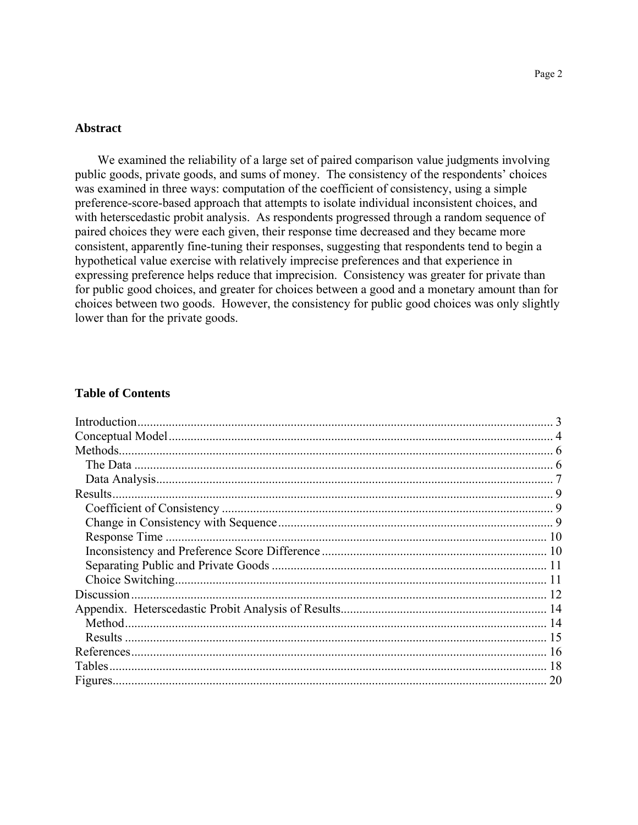### **Abstract**

We examined the reliability of a large set of paired comparison value judgments involving public goods, private goods, and sums of money. The consistency of the respondents' choices was examined in three ways: computation of the coefficient of consistency, using a simple preference-score-based approach that attempts to isolate individual inconsistent choices, and with heterscedastic probit analysis. As respondents progressed through a random sequence of paired choices they were each given, their response time decreased and they became more consistent, apparently fine-tuning their responses, suggesting that respondents tend to begin a hypothetical value exercise with relatively imprecise preferences and that experience in expressing preference helps reduce that imprecision. Consistency was greater for private than for public good choices, and greater for choices between a good and a monetary amount than for choices between two goods. However, the consistency for public good choices was only slightly lower than for the private goods.

#### **Table of Contents**

| Results.    |    |
|-------------|----|
|             |    |
|             |    |
|             |    |
|             |    |
|             |    |
|             |    |
| Discussion. |    |
|             |    |
|             |    |
|             |    |
|             |    |
|             |    |
|             | 20 |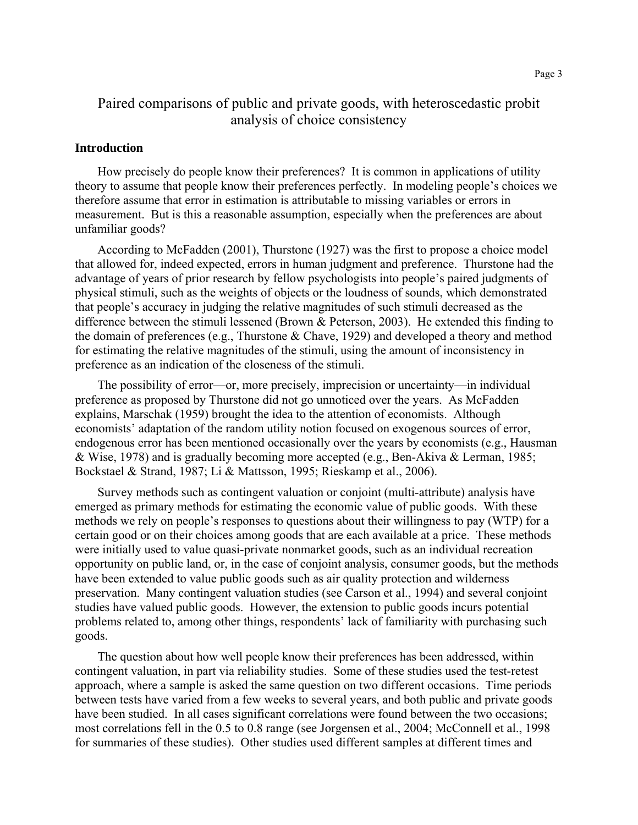### Paired comparisons of public and private goods, with heteroscedastic probit analysis of choice consistency

#### **Introduction**

How precisely do people know their preferences? It is common in applications of utility theory to assume that people know their preferences perfectly. In modeling people's choices we therefore assume that error in estimation is attributable to missing variables or errors in measurement. But is this a reasonable assumption, especially when the preferences are about unfamiliar goods?

According to McFadden (2001), Thurstone (1927) was the first to propose a choice model that allowed for, indeed expected, errors in human judgment and preference. Thurstone had the advantage of years of prior research by fellow psychologists into people's paired judgments of physical stimuli, such as the weights of objects or the loudness of sounds, which demonstrated that people's accuracy in judging the relative magnitudes of such stimuli decreased as the difference between the stimuli lessened (Brown & Peterson, 2003). He extended this finding to the domain of preferences (e.g., Thurstone & Chave, 1929) and developed a theory and method for estimating the relative magnitudes of the stimuli, using the amount of inconsistency in preference as an indication of the closeness of the stimuli.

The possibility of error—or, more precisely, imprecision or uncertainty—in individual preference as proposed by Thurstone did not go unnoticed over the years. As McFadden explains, Marschak (1959) brought the idea to the attention of economists. Although economists' adaptation of the random utility notion focused on exogenous sources of error, endogenous error has been mentioned occasionally over the years by economists (e.g., Hausman & Wise, 1978) and is gradually becoming more accepted (e.g., Ben-Akiva & Lerman, 1985; Bockstael & Strand, 1987; Li & Mattsson, 1995; Rieskamp et al., 2006).

Survey methods such as contingent valuation or conjoint (multi-attribute) analysis have emerged as primary methods for estimating the economic value of public goods. With these methods we rely on people's responses to questions about their willingness to pay (WTP) for a certain good or on their choices among goods that are each available at a price. These methods were initially used to value quasi-private nonmarket goods, such as an individual recreation opportunity on public land, or, in the case of conjoint analysis, consumer goods, but the methods have been extended to value public goods such as air quality protection and wilderness preservation. Many contingent valuation studies (see Carson et al., 1994) and several conjoint studies have valued public goods. However, the extension to public goods incurs potential problems related to, among other things, respondents' lack of familiarity with purchasing such goods.

The question about how well people know their preferences has been addressed, within contingent valuation, in part via reliability studies. Some of these studies used the test-retest approach, where a sample is asked the same question on two different occasions. Time periods between tests have varied from a few weeks to several years, and both public and private goods have been studied. In all cases significant correlations were found between the two occasions; most correlations fell in the 0.5 to 0.8 range (see Jorgensen et al., 2004; McConnell et al., 1998 for summaries of these studies). Other studies used different samples at different times and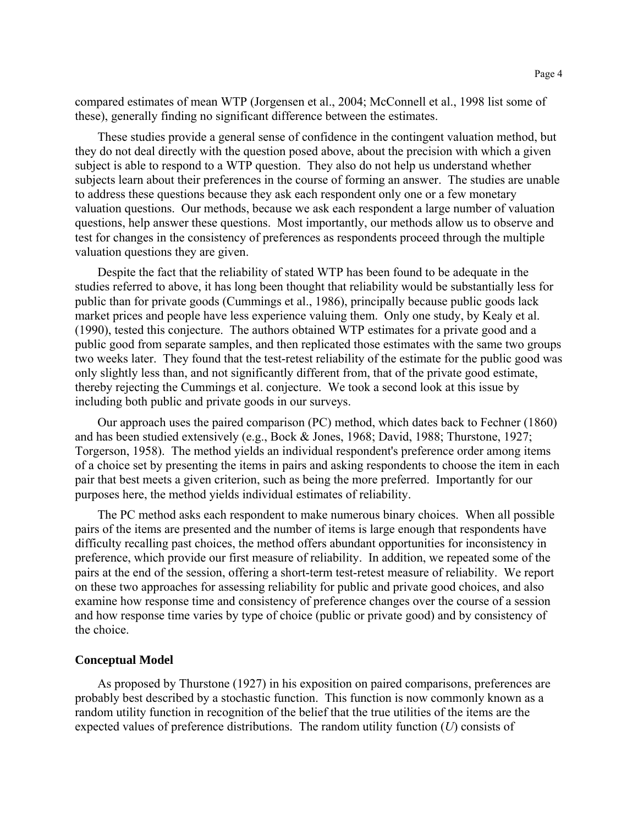compared estimates of mean WTP (Jorgensen et al., 2004; McConnell et al., 1998 list some of these), generally finding no significant difference between the estimates.

These studies provide a general sense of confidence in the contingent valuation method, but they do not deal directly with the question posed above, about the precision with which a given subject is able to respond to a WTP question. They also do not help us understand whether subjects learn about their preferences in the course of forming an answer. The studies are unable to address these questions because they ask each respondent only one or a few monetary valuation questions. Our methods, because we ask each respondent a large number of valuation questions, help answer these questions. Most importantly, our methods allow us to observe and test for changes in the consistency of preferences as respondents proceed through the multiple valuation questions they are given.

Despite the fact that the reliability of stated WTP has been found to be adequate in the studies referred to above, it has long been thought that reliability would be substantially less for public than for private goods (Cummings et al., 1986), principally because public goods lack market prices and people have less experience valuing them. Only one study, by Kealy et al. (1990), tested this conjecture. The authors obtained WTP estimates for a private good and a public good from separate samples, and then replicated those estimates with the same two groups two weeks later. They found that the test-retest reliability of the estimate for the public good was only slightly less than, and not significantly different from, that of the private good estimate, thereby rejecting the Cummings et al. conjecture. We took a second look at this issue by including both public and private goods in our surveys.

Our approach uses the paired comparison (PC) method, which dates back to Fechner (1860) and has been studied extensively (e.g., Bock & Jones, 1968; David, 1988; Thurstone, 1927; Torgerson, 1958). The method yields an individual respondent's preference order among items of a choice set by presenting the items in pairs and asking respondents to choose the item in each pair that best meets a given criterion, such as being the more preferred. Importantly for our purposes here, the method yields individual estimates of reliability.

The PC method asks each respondent to make numerous binary choices. When all possible pairs of the items are presented and the number of items is large enough that respondents have difficulty recalling past choices, the method offers abundant opportunities for inconsistency in preference, which provide our first measure of reliability. In addition, we repeated some of the pairs at the end of the session, offering a short-term test-retest measure of reliability. We report on these two approaches for assessing reliability for public and private good choices, and also examine how response time and consistency of preference changes over the course of a session and how response time varies by type of choice (public or private good) and by consistency of the choice.

#### **Conceptual Model**

As proposed by Thurstone (1927) in his exposition on paired comparisons, preferences are probably best described by a stochastic function. This function is now commonly known as a random utility function in recognition of the belief that the true utilities of the items are the expected values of preference distributions. The random utility function (*U*) consists of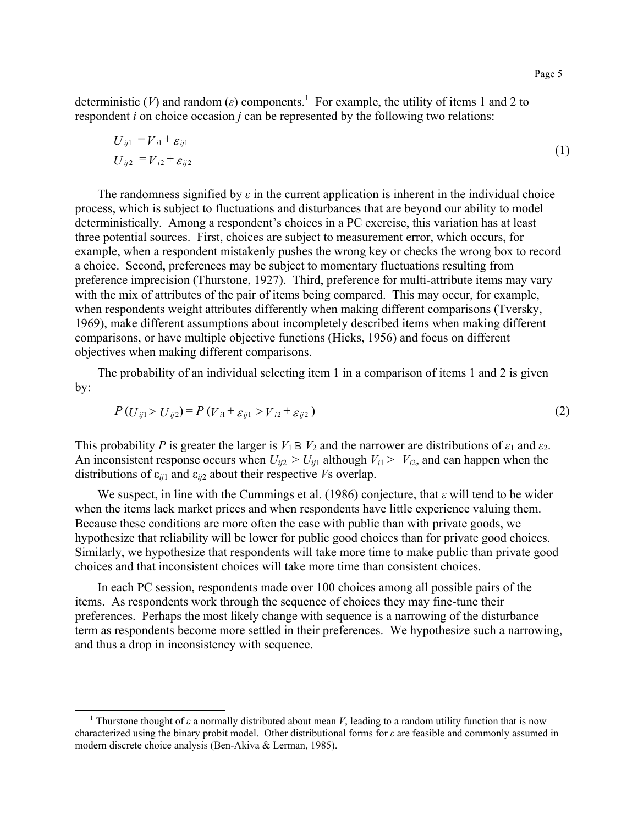deterministic (*V*) and random ( $\varepsilon$ ) components.<sup>1</sup> For example, the utility of items 1 and 2 to respondent *i* on choice occasion *j* can be represented by the following two relations:

$$
U_{ij1} = V_{i1} + \varepsilon_{ij1} U_{ij2} = V_{i2} + \varepsilon_{ij2}
$$
 (1)

The randomness signified by  $\varepsilon$  in the current application is inherent in the individual choice process, which is subject to fluctuations and disturbances that are beyond our ability to model deterministically. Among a respondent's choices in a PC exercise, this variation has at least three potential sources. First, choices are subject to measurement error, which occurs, for example, when a respondent mistakenly pushes the wrong key or checks the wrong box to record a choice. Second, preferences may be subject to momentary fluctuations resulting from preference imprecision (Thurstone, 1927). Third, preference for multi-attribute items may vary with the mix of attributes of the pair of items being compared. This may occur, for example, when respondents weight attributes differently when making different comparisons (Tversky, 1969), make different assumptions about incompletely described items when making different comparisons, or have multiple objective functions (Hicks, 1956) and focus on different objectives when making different comparisons.

The probability of an individual selecting item 1 in a comparison of items 1 and 2 is given by:

$$
P(U_{ij1} > U_{ij2}) = P(V_{i1} + \varepsilon_{ij1} > V_{i2} + \varepsilon_{ij2})
$$
\n(2)

This probability *P* is greater the larger is  $V_1 \to V_2$  and the narrower are distributions of  $\varepsilon_1$  and  $\varepsilon_2$ . An inconsistent response occurs when  $U_{ij2} > U_{ij1}$  although  $V_{i1} > V_{i2}$ , and can happen when the distributions of  $\varepsilon_{ij1}$  and  $\varepsilon_{ij2}$  about their respective *V*s overlap.

We suspect, in line with the Cummings et al. (1986) conjecture, that *ε* will tend to be wider when the items lack market prices and when respondents have little experience valuing them. Because these conditions are more often the case with public than with private goods, we hypothesize that reliability will be lower for public good choices than for private good choices. Similarly, we hypothesize that respondents will take more time to make public than private good choices and that inconsistent choices will take more time than consistent choices.

In each PC session, respondents made over 100 choices among all possible pairs of the items. As respondents work through the sequence of choices they may fine-tune their preferences. Perhaps the most likely change with sequence is a narrowing of the disturbance term as respondents become more settled in their preferences. We hypothesize such a narrowing, and thus a drop in inconsistency with sequence.

 <sup>1</sup> <sup>1</sup> Thurstone thought of  $\varepsilon$  a normally distributed about mean *V*, leading to a random utility function that is now characterized using the binary probit model. Other distributional forms for *ε* are feasible and commonly assumed in modern discrete choice analysis (Ben-Akiva & Lerman, 1985).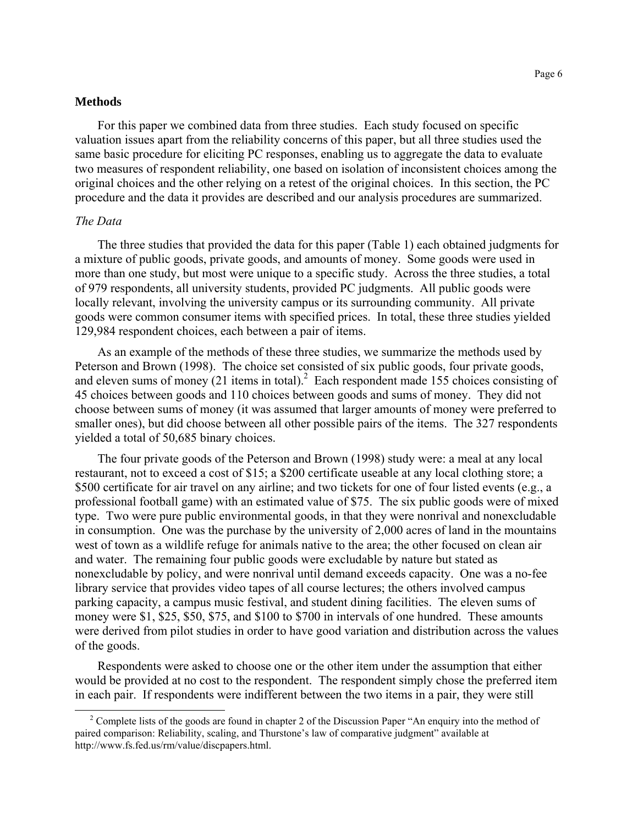For this paper we combined data from three studies. Each study focused on specific valuation issues apart from the reliability concerns of this paper, but all three studies used the same basic procedure for eliciting PC responses, enabling us to aggregate the data to evaluate two measures of respondent reliability, one based on isolation of inconsistent choices among the original choices and the other relying on a retest of the original choices. In this section, the PC procedure and the data it provides are described and our analysis procedures are summarized.

#### *The Data*

The three studies that provided the data for this paper (Table 1) each obtained judgments for a mixture of public goods, private goods, and amounts of money. Some goods were used in more than one study, but most were unique to a specific study. Across the three studies, a total of 979 respondents, all university students, provided PC judgments. All public goods were locally relevant, involving the university campus or its surrounding community. All private goods were common consumer items with specified prices. In total, these three studies yielded 129,984 respondent choices, each between a pair of items.

As an example of the methods of these three studies, we summarize the methods used by Peterson and Brown (1998). The choice set consisted of six public goods, four private goods, and eleven sums of money  $(21$  items in total).<sup>2</sup> Each respondent made 155 choices consisting of 45 choices between goods and 110 choices between goods and sums of money. They did not choose between sums of money (it was assumed that larger amounts of money were preferred to smaller ones), but did choose between all other possible pairs of the items. The 327 respondents yielded a total of 50,685 binary choices.

The four private goods of the Peterson and Brown (1998) study were: a meal at any local restaurant, not to exceed a cost of \$15; a \$200 certificate useable at any local clothing store; a \$500 certificate for air travel on any airline; and two tickets for one of four listed events (e.g., a professional football game) with an estimated value of \$75. The six public goods were of mixed type. Two were pure public environmental goods, in that they were nonrival and nonexcludable in consumption. One was the purchase by the university of 2,000 acres of land in the mountains west of town as a wildlife refuge for animals native to the area; the other focused on clean air and water. The remaining four public goods were excludable by nature but stated as nonexcludable by policy, and were nonrival until demand exceeds capacity. One was a no-fee library service that provides video tapes of all course lectures; the others involved campus parking capacity, a campus music festival, and student dining facilities. The eleven sums of money were \$1, \$25, \$50, \$75, and \$100 to \$700 in intervals of one hundred. These amounts were derived from pilot studies in order to have good variation and distribution across the values of the goods.

Respondents were asked to choose one or the other item under the assumption that either would be provided at no cost to the respondent. The respondent simply chose the preferred item in each pair. If respondents were indifferent between the two items in a pair, they were still

<sup>&</sup>lt;sup>2</sup> Complete lists of the goods are found in chapter 2 of the Discussion Paper "An enquiry into the method of paired comparison: Reliability, scaling, and Thurstone's law of comparative judgment" available at http://www.fs.fed.us/rm/value/discpapers.html.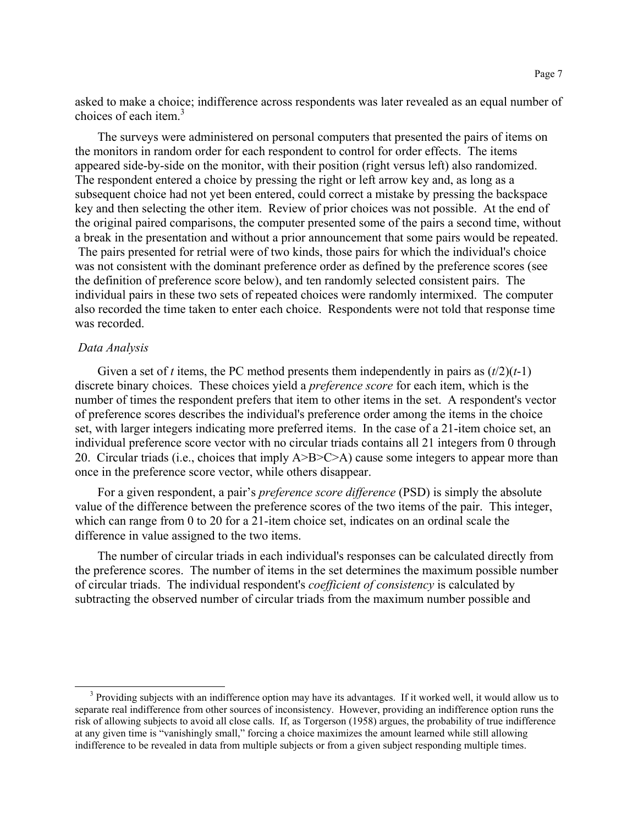asked to make a choice; indifference across respondents was later revealed as an equal number of choices of each item $<sup>3</sup>$ </sup>

The surveys were administered on personal computers that presented the pairs of items on the monitors in random order for each respondent to control for order effects. The items appeared side-by-side on the monitor, with their position (right versus left) also randomized. The respondent entered a choice by pressing the right or left arrow key and, as long as a subsequent choice had not yet been entered, could correct a mistake by pressing the backspace key and then selecting the other item. Review of prior choices was not possible. At the end of the original paired comparisons, the computer presented some of the pairs a second time, without a break in the presentation and without a prior announcement that some pairs would be repeated. The pairs presented for retrial were of two kinds, those pairs for which the individual's choice was not consistent with the dominant preference order as defined by the preference scores (see the definition of preference score below), and ten randomly selected consistent pairs. The individual pairs in these two sets of repeated choices were randomly intermixed. The computer also recorded the time taken to enter each choice. Respondents were not told that response time was recorded.

#### *Data Analysis*

Given a set of *t* items, the PC method presents them independently in pairs as  $(t/2)(t-1)$ discrete binary choices. These choices yield a *preference score* for each item, which is the number of times the respondent prefers that item to other items in the set. A respondent's vector of preference scores describes the individual's preference order among the items in the choice set, with larger integers indicating more preferred items. In the case of a 21-item choice set, an individual preference score vector with no circular triads contains all 21 integers from 0 through 20. Circular triads (i.e., choices that imply A>B>C>A) cause some integers to appear more than once in the preference score vector, while others disappear.

For a given respondent, a pair's *preference score difference* (PSD) is simply the absolute value of the difference between the preference scores of the two items of the pair. This integer, which can range from 0 to 20 for a 21-item choice set, indicates on an ordinal scale the difference in value assigned to the two items.

The number of circular triads in each individual's responses can be calculated directly from the preference scores. The number of items in the set determines the maximum possible number of circular triads. The individual respondent's *coefficient of consistency* is calculated by subtracting the observed number of circular triads from the maximum number possible and

<sup>&</sup>lt;sup>3</sup> Providing subjects with an indifference option may have its advantages. If it worked well, it would allow us to separate real indifference from other sources of inconsistency. However, providing an indifference option runs the risk of allowing subjects to avoid all close calls. If, as Torgerson (1958) argues, the probability of true indifference at any given time is "vanishingly small," forcing a choice maximizes the amount learned while still allowing indifference to be revealed in data from multiple subjects or from a given subject responding multiple times.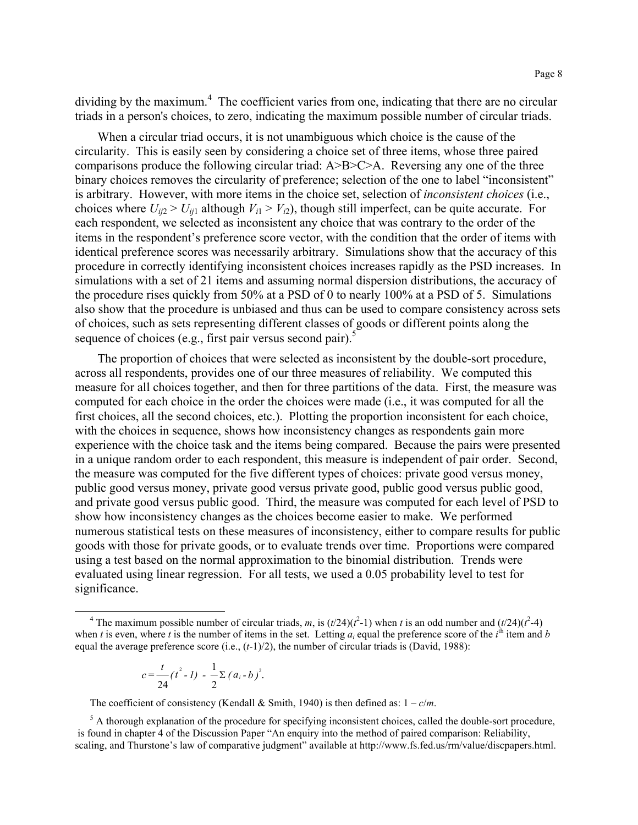dividing by the maximum.<sup>4</sup> The coefficient varies from one, indicating that there are no circular triads in a person's choices, to zero, indicating the maximum possible number of circular triads.

When a circular triad occurs, it is not unambiguous which choice is the cause of the circularity. This is easily seen by considering a choice set of three items, whose three paired comparisons produce the following circular triad: A>B>C>A. Reversing any one of the three binary choices removes the circularity of preference; selection of the one to label "inconsistent" is arbitrary. However, with more items in the choice set, selection of *inconsistent choices* (i.e., choices where  $U_{ii2} > U_{ii1}$  although  $V_{i1} > V_{i2}$ ), though still imperfect, can be quite accurate. For each respondent, we selected as inconsistent any choice that was contrary to the order of the items in the respondent's preference score vector, with the condition that the order of items with identical preference scores was necessarily arbitrary. Simulations show that the accuracy of this procedure in correctly identifying inconsistent choices increases rapidly as the PSD increases. In simulations with a set of 21 items and assuming normal dispersion distributions, the accuracy of the procedure rises quickly from 50% at a PSD of 0 to nearly 100% at a PSD of 5. Simulations also show that the procedure is unbiased and thus can be used to compare consistency across sets of choices, such as sets representing different classes of goods or different points along the sequence of choices (e.g., first pair versus second pair). $5$ 

The proportion of choices that were selected as inconsistent by the double-sort procedure, across all respondents, provides one of our three measures of reliability. We computed this measure for all choices together, and then for three partitions of the data. First, the measure was computed for each choice in the order the choices were made (i.e., it was computed for all the first choices, all the second choices, etc.). Plotting the proportion inconsistent for each choice, with the choices in sequence, shows how inconsistency changes as respondents gain more experience with the choice task and the items being compared. Because the pairs were presented in a unique random order to each respondent, this measure is independent of pair order. Second, the measure was computed for the five different types of choices: private good versus money, public good versus money, private good versus private good, public good versus public good, and private good versus public good. Third, the measure was computed for each level of PSD to show how inconsistency changes as the choices become easier to make. We performed numerous statistical tests on these measures of inconsistency, either to compare results for public goods with those for private goods, or to evaluate trends over time. Proportions were compared using a test based on the normal approximation to the binomial distribution. Trends were evaluated using linear regression. For all tests, we used a 0.05 probability level to test for significance.

$$
c = \frac{t}{24}(t^2 - 1) - \frac{1}{2}\Sigma (a_i - b)^2.
$$

The coefficient of consistency (Kendall & Smith, 1940) is then defined as:  $1 - c/m$ .

<sup>&</sup>lt;sup>4</sup> The maximum possible number of circular triads, *m*, is  $(t/24)(t^2-1)$  when *t* is an odd number and  $(t/24)(t^2-4)$ when *t* is even, where *t* is the number of items in the set. Letting  $a_i$  equal the preference score of the  $i^{\text{th}}$  item and *b* equal the average preference score (i.e., (*t*-1)/2), the number of circular triads is (David, 1988):

 $<sup>5</sup>$  A thorough explanation of the procedure for specifying inconsistent choices, called the double-sort procedure,</sup> is found in chapter 4 of the Discussion Paper "An enquiry into the method of paired comparison: Reliability, scaling, and Thurstone's law of comparative judgment" available at http://www.fs.fed.us/rm/value/discpapers.html.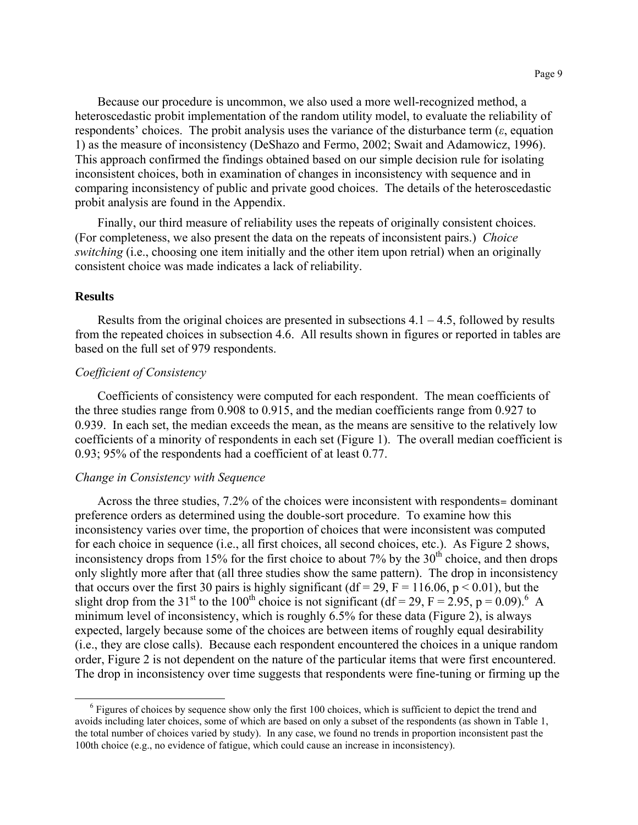Because our procedure is uncommon, we also used a more well-recognized method, a heteroscedastic probit implementation of the random utility model, to evaluate the reliability of respondents' choices. The probit analysis uses the variance of the disturbance term (*ε*, equation 1) as the measure of inconsistency (DeShazo and Fermo, 2002; Swait and Adamowicz, 1996). This approach confirmed the findings obtained based on our simple decision rule for isolating inconsistent choices, both in examination of changes in inconsistency with sequence and in comparing inconsistency of public and private good choices. The details of the heteroscedastic probit analysis are found in the Appendix.

Finally, our third measure of reliability uses the repeats of originally consistent choices. (For completeness, we also present the data on the repeats of inconsistent pairs.) *Choice switching* (i.e., choosing one item initially and the other item upon retrial) when an originally consistent choice was made indicates a lack of reliability.

#### **Results**

Results from the original choices are presented in subsections  $4.1 - 4.5$ , followed by results from the repeated choices in subsection 4.6. All results shown in figures or reported in tables are based on the full set of 979 respondents.

#### *Coefficient of Consistency*

Coefficients of consistency were computed for each respondent. The mean coefficients of the three studies range from 0.908 to 0.915, and the median coefficients range from 0.927 to 0.939. In each set, the median exceeds the mean, as the means are sensitive to the relatively low coefficients of a minority of respondents in each set (Figure 1). The overall median coefficient is 0.93; 95% of the respondents had a coefficient of at least 0.77.

#### *Change in Consistency with Sequence*

Across the three studies, 7.2% of the choices were inconsistent with respondents= dominant preference orders as determined using the double-sort procedure. To examine how this inconsistency varies over time, the proportion of choices that were inconsistent was computed for each choice in sequence (i.e., all first choices, all second choices, etc.). As Figure 2 shows, inconsistency drops from 15% for the first choice to about 7% by the  $30<sup>th</sup>$  choice, and then drops only slightly more after that (all three studies show the same pattern). The drop in inconsistency that occurs over the first 30 pairs is highly significant (df = 29,  $F = 116.06$ ,  $p \le 0.01$ ), but the slight drop from the 31<sup>st</sup> to the 100<sup>th</sup> choice is not significant (df = 29, F = 2.95, p = 0.09).<sup>6</sup> A minimum level of inconsistency, which is roughly 6.5% for these data (Figure 2), is always expected, largely because some of the choices are between items of roughly equal desirability (i.e., they are close calls). Because each respondent encountered the choices in a unique random order, Figure 2 is not dependent on the nature of the particular items that were first encountered. The drop in inconsistency over time suggests that respondents were fine-tuning or firming up the

<sup>&</sup>lt;sup>6</sup> Figures of choices by sequence show only the first 100 choices, which is sufficient to depict the trend and avoids including later choices, some of which are based on only a subset of the respondents (as shown in Table 1, the total number of choices varied by study). In any case, we found no trends in proportion inconsistent past the 100th choice (e.g., no evidence of fatigue, which could cause an increase in inconsistency).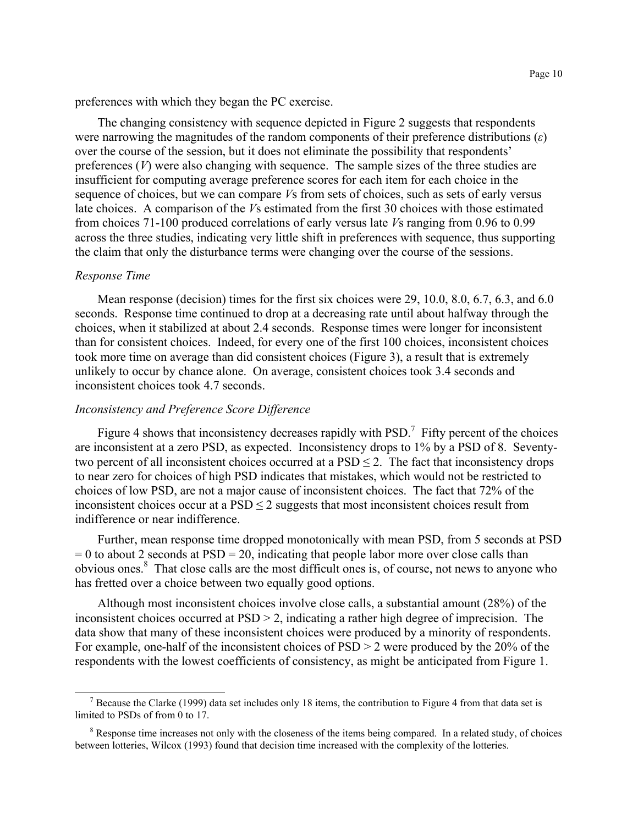preferences with which they began the PC exercise.

The changing consistency with sequence depicted in Figure 2 suggests that respondents were narrowing the magnitudes of the random components of their preference distributions (*ε*) over the course of the session, but it does not eliminate the possibility that respondents' preferences (*V*) were also changing with sequence. The sample sizes of the three studies are insufficient for computing average preference scores for each item for each choice in the sequence of choices, but we can compare *V*s from sets of choices, such as sets of early versus late choices. A comparison of the *V*s estimated from the first 30 choices with those estimated from choices 71-100 produced correlations of early versus late *V*s ranging from 0.96 to 0.99 across the three studies, indicating very little shift in preferences with sequence, thus supporting the claim that only the disturbance terms were changing over the course of the sessions.

#### *Response Time*

Mean response (decision) times for the first six choices were 29, 10.0, 8.0, 6.7, 6.3, and 6.0 seconds. Response time continued to drop at a decreasing rate until about halfway through the choices, when it stabilized at about 2.4 seconds. Response times were longer for inconsistent than for consistent choices. Indeed, for every one of the first 100 choices, inconsistent choices took more time on average than did consistent choices (Figure 3), a result that is extremely unlikely to occur by chance alone. On average, consistent choices took 3.4 seconds and inconsistent choices took 4.7 seconds.

#### *Inconsistency and Preference Score Difference*

Figure 4 shows that inconsistency decreases rapidly with  $PSD$ .<sup>7</sup> Fifty percent of the choices are inconsistent at a zero PSD, as expected. Inconsistency drops to 1% by a PSD of 8. Seventytwo percent of all inconsistent choices occurred at a  $PSD \leq 2$ . The fact that inconsistency drops to near zero for choices of high PSD indicates that mistakes, which would not be restricted to choices of low PSD, are not a major cause of inconsistent choices. The fact that 72% of the inconsistent choices occur at a  $PSD \leq 2$  suggests that most inconsistent choices result from indifference or near indifference.

Further, mean response time dropped monotonically with mean PSD, from 5 seconds at PSD  $= 0$  to about 2 seconds at  $PSD = 20$ , indicating that people labor more over close calls than obvious ones.<sup>8</sup> That close calls are the most difficult ones is, of course, not news to anyone who has fretted over a choice between two equally good options.

Although most inconsistent choices involve close calls, a substantial amount (28%) of the inconsistent choices occurred at PSD > 2, indicating a rather high degree of imprecision. The data show that many of these inconsistent choices were produced by a minority of respondents. For example, one-half of the inconsistent choices of PSD > 2 were produced by the 20% of the respondents with the lowest coefficients of consistency, as might be anticipated from Figure 1.

 $\frac{1}{7}$ <sup>7</sup> Because the Clarke (1999) data set includes only 18 items, the contribution to Figure 4 from that data set is limited to PSDs of from 0 to 17.

<sup>&</sup>lt;sup>8</sup> Response time increases not only with the closeness of the items being compared. In a related study, of choices between lotteries, Wilcox (1993) found that decision time increased with the complexity of the lotteries.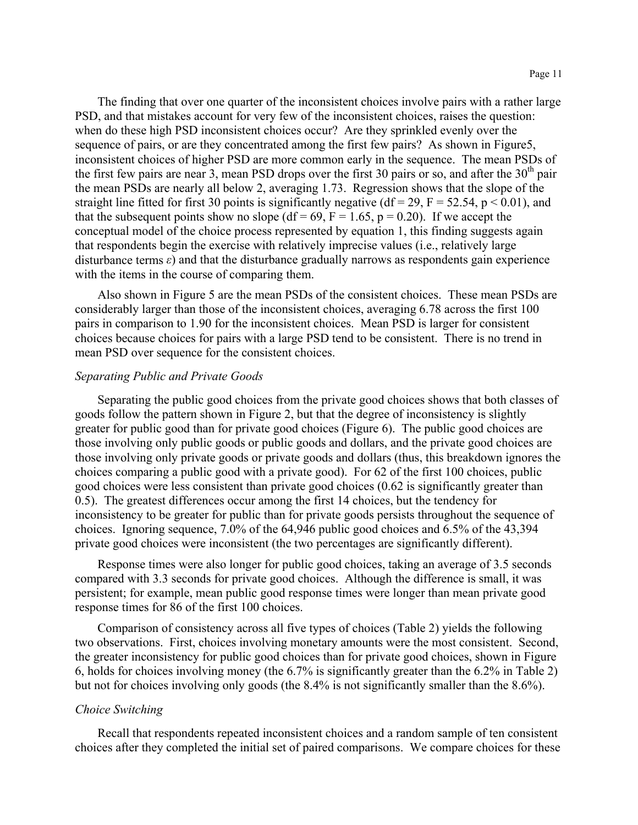The finding that over one quarter of the inconsistent choices involve pairs with a rather large PSD, and that mistakes account for very few of the inconsistent choices, raises the question: when do these high PSD inconsistent choices occur? Are they sprinkled evenly over the sequence of pairs, or are they concentrated among the first few pairs? As shown in Figure5, inconsistent choices of higher PSD are more common early in the sequence. The mean PSDs of the first few pairs are near 3, mean PSD drops over the first 30 pairs or so, and after the  $30<sup>th</sup>$  pair the mean PSDs are nearly all below 2, averaging 1.73. Regression shows that the slope of the straight line fitted for first 30 points is significantly negative (df = 29,  $F = 52.54$ , p < 0.01), and that the subsequent points show no slope (df = 69, F = 1.65, p = 0.20). If we accept the conceptual model of the choice process represented by equation 1, this finding suggests again that respondents begin the exercise with relatively imprecise values (i.e., relatively large disturbance terms *ε*) and that the disturbance gradually narrows as respondents gain experience with the items in the course of comparing them.

Also shown in Figure 5 are the mean PSDs of the consistent choices. These mean PSDs are considerably larger than those of the inconsistent choices, averaging 6.78 across the first 100 pairs in comparison to 1.90 for the inconsistent choices. Mean PSD is larger for consistent choices because choices for pairs with a large PSD tend to be consistent. There is no trend in mean PSD over sequence for the consistent choices.

#### *Separating Public and Private Goods*

Separating the public good choices from the private good choices shows that both classes of goods follow the pattern shown in Figure 2, but that the degree of inconsistency is slightly greater for public good than for private good choices (Figure 6). The public good choices are those involving only public goods or public goods and dollars, and the private good choices are those involving only private goods or private goods and dollars (thus, this breakdown ignores the choices comparing a public good with a private good). For 62 of the first 100 choices, public good choices were less consistent than private good choices (0.62 is significantly greater than 0.5). The greatest differences occur among the first 14 choices, but the tendency for inconsistency to be greater for public than for private goods persists throughout the sequence of choices. Ignoring sequence, 7.0% of the 64,946 public good choices and 6.5% of the 43,394 private good choices were inconsistent (the two percentages are significantly different).

Response times were also longer for public good choices, taking an average of 3.5 seconds compared with 3.3 seconds for private good choices. Although the difference is small, it was persistent; for example, mean public good response times were longer than mean private good response times for 86 of the first 100 choices.

Comparison of consistency across all five types of choices (Table 2) yields the following two observations. First, choices involving monetary amounts were the most consistent. Second, the greater inconsistency for public good choices than for private good choices, shown in Figure 6, holds for choices involving money (the 6.7% is significantly greater than the 6.2% in Table 2) but not for choices involving only goods (the 8.4% is not significantly smaller than the 8.6%).

#### *Choice Switching*

Recall that respondents repeated inconsistent choices and a random sample of ten consistent choices after they completed the initial set of paired comparisons. We compare choices for these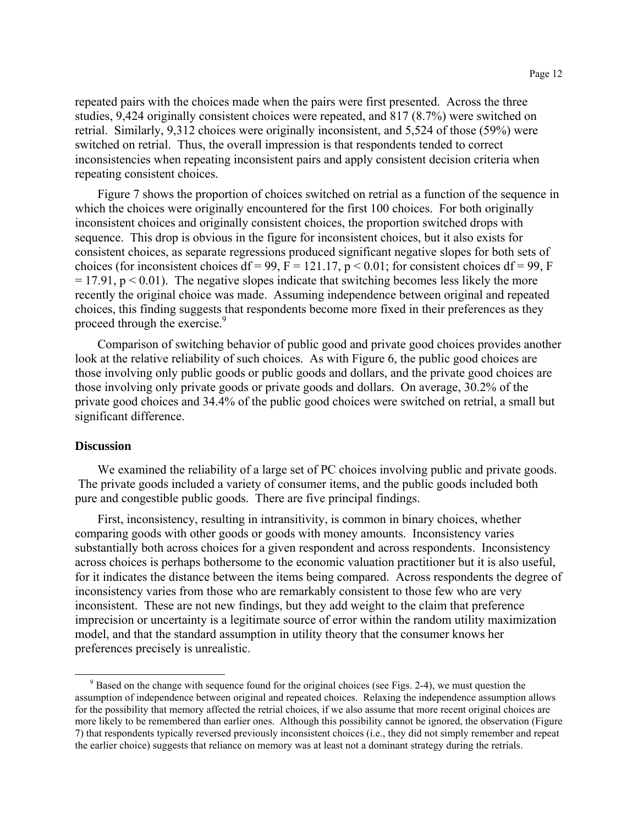repeated pairs with the choices made when the pairs were first presented. Across the three studies, 9,424 originally consistent choices were repeated, and 817 (8.7%) were switched on retrial. Similarly, 9,312 choices were originally inconsistent, and 5,524 of those (59%) were switched on retrial. Thus, the overall impression is that respondents tended to correct inconsistencies when repeating inconsistent pairs and apply consistent decision criteria when repeating consistent choices.

Figure 7 shows the proportion of choices switched on retrial as a function of the sequence in which the choices were originally encountered for the first 100 choices. For both originally inconsistent choices and originally consistent choices, the proportion switched drops with sequence. This drop is obvious in the figure for inconsistent choices, but it also exists for consistent choices, as separate regressions produced significant negative slopes for both sets of choices (for inconsistent choices df = 99, F = 121.17,  $p < 0.01$ ; for consistent choices df = 99, F  $= 17.91$ ,  $p < 0.01$ ). The negative slopes indicate that switching becomes less likely the more recently the original choice was made. Assuming independence between original and repeated choices, this finding suggests that respondents become more fixed in their preferences as they proceed through the exercise.<sup>9</sup>

Comparison of switching behavior of public good and private good choices provides another look at the relative reliability of such choices. As with Figure 6, the public good choices are those involving only public goods or public goods and dollars, and the private good choices are those involving only private goods or private goods and dollars. On average, 30.2% of the private good choices and 34.4% of the public good choices were switched on retrial, a small but significant difference.

#### **Discussion**

We examined the reliability of a large set of PC choices involving public and private goods. The private goods included a variety of consumer items, and the public goods included both pure and congestible public goods. There are five principal findings.

First, inconsistency, resulting in intransitivity, is common in binary choices, whether comparing goods with other goods or goods with money amounts. Inconsistency varies substantially both across choices for a given respondent and across respondents. Inconsistency across choices is perhaps bothersome to the economic valuation practitioner but it is also useful, for it indicates the distance between the items being compared. Across respondents the degree of inconsistency varies from those who are remarkably consistent to those few who are very inconsistent. These are not new findings, but they add weight to the claim that preference imprecision or uncertainty is a legitimate source of error within the random utility maximization model, and that the standard assumption in utility theory that the consumer knows her preferences precisely is unrealistic.

 $\overline{\phantom{0}}$ <sup>9</sup> Based on the change with sequence found for the original choices (see Figs. 2-4), we must question the assumption of independence between original and repeated choices. Relaxing the independence assumption allows for the possibility that memory affected the retrial choices, if we also assume that more recent original choices are more likely to be remembered than earlier ones. Although this possibility cannot be ignored, the observation (Figure 7) that respondents typically reversed previously inconsistent choices (i.e., they did not simply remember and repeat the earlier choice) suggests that reliance on memory was at least not a dominant strategy during the retrials.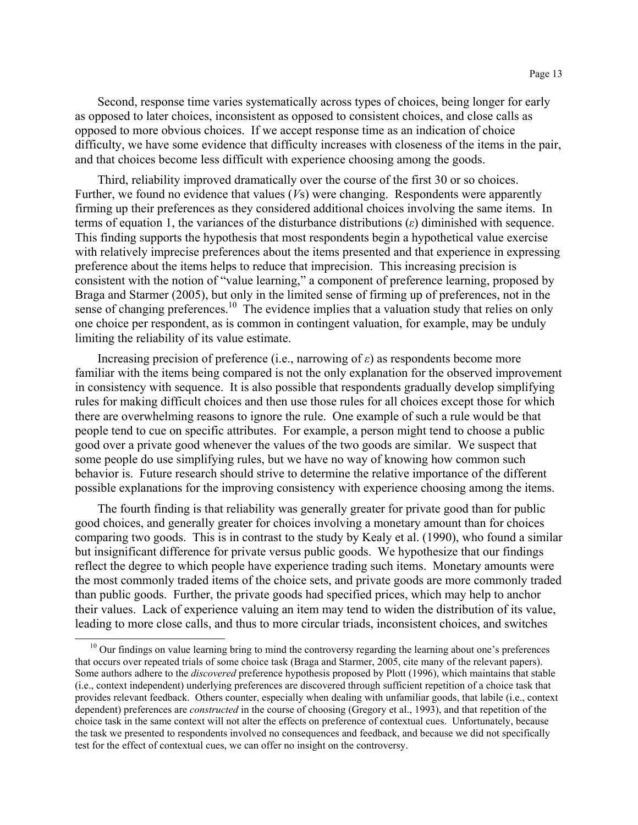Second, response time varies systematically across types of choices, being longer for early as opposed to later choices, inconsistent as opposed to consistent choices, and close calls as opposed to more obvious choices. If we accept response time as an indication of choice difficulty, we have some evidence that difficulty increases with closeness of the items in the pair, and that choices become less difficult with experience choosing among the goods.

Third, reliability improved dramatically over the course of the first 30 or so choices. Further, we found no evidence that values (*V*s) were changing. Respondents were apparently firming up their preferences as they considered additional choices involving the same items. In terms of equation 1, the variances of the disturbance distributions (*ε*) diminished with sequence. This finding supports the hypothesis that most respondents begin a hypothetical value exercise with relatively imprecise preferences about the items presented and that experience in expressing preference about the items helps to reduce that imprecision. This increasing precision is consistent with the notion of "value learning," a component of preference learning, proposed by Braga and Starmer (2005), but only in the limited sense of firming up of preferences, not in the sense of changing preferences.<sup>10</sup> The evidence implies that a valuation study that relies on only one choice per respondent, as is common in contingent valuation, for example, may be unduly limiting the reliability of its value estimate.

Increasing precision of preference (i.e., narrowing of *ε*) as respondents become more familiar with the items being compared is not the only explanation for the observed improvement in consistency with sequence. It is also possible that respondents gradually develop simplifying rules for making difficult choices and then use those rules for all choices except those for which there are overwhelming reasons to ignore the rule. One example of such a rule would be that people tend to cue on specific attributes. For example, a person might tend to choose a public good over a private good whenever the values of the two goods are similar. We suspect that some people do use simplifying rules, but we have no way of knowing how common such behavior is. Future research should strive to determine the relative importance of the different possible explanations for the improving consistency with experience choosing among the items.

The fourth finding is that reliability was generally greater for private good than for public good choices, and generally greater for choices involving a monetary amount than for choices comparing two goods. This is in contrast to the study by Kealy et al. (1990), who found a similar but insignificant difference for private versus public goods. We hypothesize that our findings reflect the degree to which people have experience trading such items. Monetary amounts were the most commonly traded items of the choice sets, and private goods are more commonly traded than public goods. Further, the private goods had specified prices, which may help to anchor their values. Lack of experience valuing an item may tend to widen the distribution of its value, leading to more close calls, and thus to more circular triads, inconsistent choices, and switches

<sup>&</sup>lt;sup>10</sup> Our findings on value learning bring to mind the controversy regarding the learning about one's preferences that occurs over repeated trials of some choice task (Braga and Starmer, 2005, cite many of the relevant papers). Some authors adhere to the *discovered* preference hypothesis proposed by Plott (1996), which maintains that stable (i.e., context independent) underlying preferences are discovered through sufficient repetition of a choice task that provides relevant feedback. Others counter, especially when dealing with unfamiliar goods, that labile (i.e., context dependent) preferences are *constructed* in the course of choosing (Gregory et al., 1993), and that repetition of the choice task in the same context will not alter the effects on preference of contextual cues. Unfortunately, because the task we presented to respondents involved no consequences and feedback, and because we did not specifically test for the effect of contextual cues, we can offer no insight on the controversy.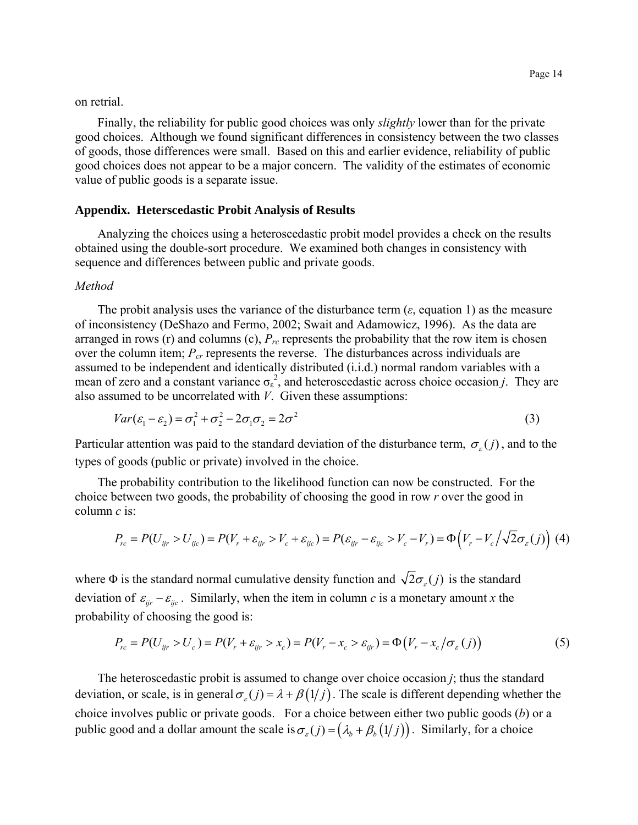on retrial.

Finally, the reliability for public good choices was only *slightly* lower than for the private good choices. Although we found significant differences in consistency between the two classes of goods, those differences were small. Based on this and earlier evidence, reliability of public good choices does not appear to be a major concern. The validity of the estimates of economic value of public goods is a separate issue.

#### **Appendix. Heterscedastic Probit Analysis of Results**

Analyzing the choices using a heteroscedastic probit model provides a check on the results obtained using the double-sort procedure. We examined both changes in consistency with sequence and differences between public and private goods.

#### *Method*

The probit analysis uses the variance of the disturbance term (*ε*, equation 1) as the measure of inconsistency (DeShazo and Fermo, 2002; Swait and Adamowicz, 1996). As the data are arranged in rows (r) and columns (c),  $P_{rc}$  represents the probability that the row item is chosen over the column item;  $P_{cr}$  represents the reverse. The disturbances across individuals are assumed to be independent and identically distributed (i.i.d.) normal random variables with a mean of zero and a constant variance  $\sigma_{\epsilon}^2$ , and heteroscedastic across choice occasion *j*. They are also assumed to be uncorrelated with *V*. Given these assumptions:

$$
Var(\varepsilon_1 - \varepsilon_2) = \sigma_1^2 + \sigma_2^2 - 2\sigma_1\sigma_2 = 2\sigma^2
$$
\n(3)

Particular attention was paid to the standard deviation of the disturbance term,  $\sigma_{s}(j)$ , and to the types of goods (public or private) involved in the choice.

The probability contribution to the likelihood function can now be constructed. For the choice between two goods, the probability of choosing the good in row *r* over the good in column *c* is:

$$
P_{rc} = P(U_{ijr} > U_{ijc}) = P(V_r + \varepsilon_{ijr} > V_c + \varepsilon_{ijc}) = P(\varepsilon_{ijr} - \varepsilon_{ijc} > V_c - V_r) = \Phi(V_r - V_c / \sqrt{2}\sigma_{\varepsilon}(j))
$$
(4)

where  $\Phi$  is the standard normal cumulative density function and  $\sqrt{2}\sigma_{\epsilon}(j)$  is the standard deviation of  $\varepsilon_{ijr} - \varepsilon_{ijc}$ . Similarly, when the item in column *c* is a monetary amount *x* the probability of choosing the good is:

$$
P_{rc} = P(U_{ijr} > U_c) = P(V_r + \varepsilon_{ijr} > x_c) = P(V_r - x_c > \varepsilon_{ijr}) = \Phi(V_r - x_c / \sigma_c(j))
$$
\n(5)

The heteroscedastic probit is assumed to change over choice occasion *j*; thus the standard deviation, or scale, is in general  $\sigma_s(j) = \lambda + \beta(1/j)$ . The scale is different depending whether the choice involves public or private goods. For a choice between either two public goods (*b*) or a public good and a dollar amount the scale is  $\sigma_{\varepsilon}(j) = (\lambda_b + \beta_b(1/j))$ . Similarly, for a choice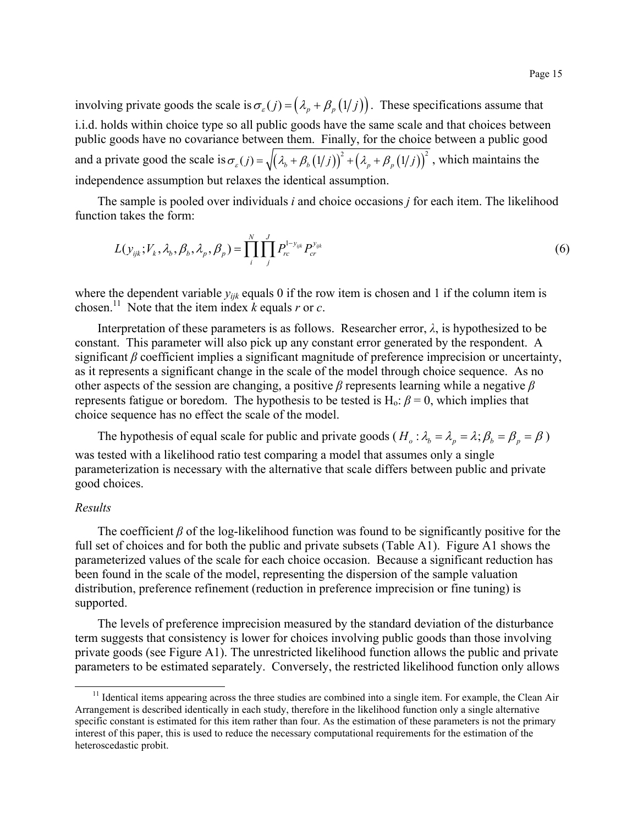involving private goods the scale is  $\sigma_{\varepsilon}(j) = (\lambda_p + \beta_p (1/j))$ . These specifications assume that i.i.d. holds within choice type so all public goods have the same scale and that choices between public goods have no covariance between them. Finally, for the choice between a public good and a private good the scale is  $\sigma_{\varepsilon}(j) = \sqrt{(\lambda_b + \beta_b (1/j))^2 + (\lambda_p + \beta_p (1/j))^2}$ , which maintains the independence assumption but relaxes the identical assumption.

The sample is pooled over individuals *i* and choice occasions *j* for each item. The likelihood function takes the form:

$$
L(y_{ijk}; V_k, \lambda_b, \beta_b, \lambda_p, \beta_p) = \prod_{i}^{N} \prod_{j}^{J} P_{rc}^{1-y_{ijk}} P_{cr}^{y_{ijk}}
$$
(6)

where the dependent variable  $y_{ijk}$  equals 0 if the row item is chosen and 1 if the column item is chosen.<sup>11</sup> Note that the item index  $k$  equals  $r$  or  $c$ .

Interpretation of these parameters is as follows. Researcher error,  $\lambda$ , is hypothesized to be constant. This parameter will also pick up any constant error generated by the respondent. A significant *β* coefficient implies a significant magnitude of preference imprecision or uncertainty, as it represents a significant change in the scale of the model through choice sequence. As no other aspects of the session are changing, a positive *β* represents learning while a negative *β* represents fatigue or boredom. The hypothesis to be tested is  $H_0$ :  $\beta = 0$ , which implies that choice sequence has no effect the scale of the model.

The hypothesis of equal scale for public and private goods ( $H_o: \lambda_b = \lambda_p = \lambda$ ;  $\beta_b = \beta_p = \beta$ )

was tested with a likelihood ratio test comparing a model that assumes only a single parameterization is necessary with the alternative that scale differs between public and private good choices.

#### *Results*

The coefficient *β* of the log-likelihood function was found to be significantly positive for the full set of choices and for both the public and private subsets (Table A1). Figure A1 shows the parameterized values of the scale for each choice occasion. Because a significant reduction has been found in the scale of the model, representing the dispersion of the sample valuation distribution, preference refinement (reduction in preference imprecision or fine tuning) is supported.

The levels of preference imprecision measured by the standard deviation of the disturbance term suggests that consistency is lower for choices involving public goods than those involving private goods (see Figure A1). The unrestricted likelihood function allows the public and private parameters to be estimated separately. Conversely, the restricted likelihood function only allows

 $11$  Identical items appearing across the three studies are combined into a single item. For example, the Clean Air Arrangement is described identically in each study, therefore in the likelihood function only a single alternative specific constant is estimated for this item rather than four. As the estimation of these parameters is not the primary interest of this paper, this is used to reduce the necessary computational requirements for the estimation of the heteroscedastic probit.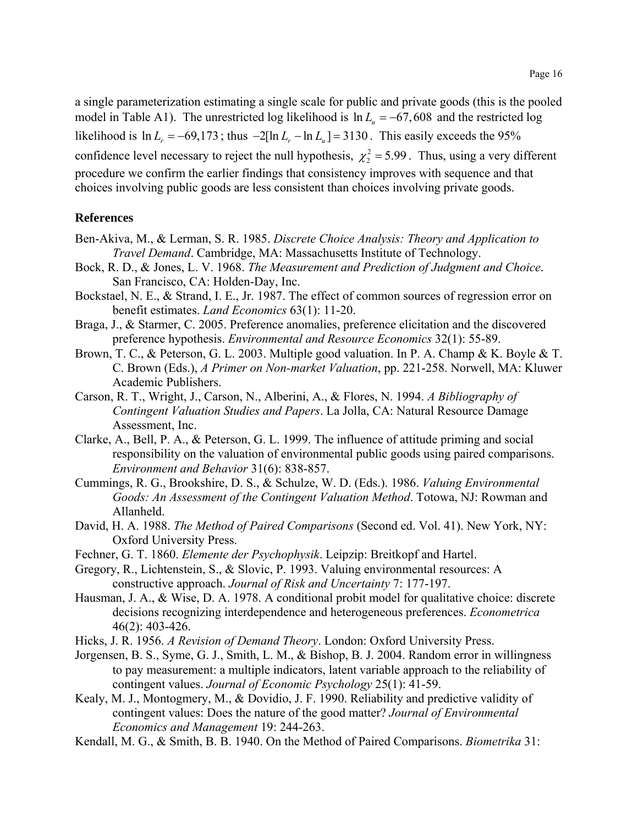a single parameterization estimating a single scale for public and private goods (this is the pooled model in Table A1). The unrestricted log likelihood is  $\ln L_u = -67,608$  and the restricted log likelihood is  $\ln L_r = -69,173$ ; thus  $-2[\ln L_r - \ln L_u] = 3130$ . This easily exceeds the 95% confidence level necessary to reject the null hypothesis,  $\chi^2$  = 5.99. Thus, using a very different procedure we confirm the earlier findings that consistency improves with sequence and that choices involving public goods are less consistent than choices involving private goods.

#### **References**

- Ben-Akiva, M., & Lerman, S. R. 1985. *Discrete Choice Analysis: Theory and Application to Travel Demand*. Cambridge, MA: Massachusetts Institute of Technology.
- Bock, R. D., & Jones, L. V. 1968. *The Measurement and Prediction of Judgment and Choice*. San Francisco, CA: Holden-Day, Inc.
- Bockstael, N. E., & Strand, I. E., Jr. 1987. The effect of common sources of regression error on benefit estimates. *Land Economics* 63(1): 11-20.
- Braga, J., & Starmer, C. 2005. Preference anomalies, preference elicitation and the discovered preference hypothesis. *Environmental and Resource Economics* 32(1): 55-89.
- Brown, T. C., & Peterson, G. L. 2003. Multiple good valuation. In P. A. Champ & K. Boyle & T. C. Brown (Eds.), *A Primer on Non-market Valuation*, pp. 221-258. Norwell, MA: Kluwer Academic Publishers.
- Carson, R. T., Wright, J., Carson, N., Alberini, A., & Flores, N. 1994. *A Bibliography of Contingent Valuation Studies and Papers*. La Jolla, CA: Natural Resource Damage Assessment, Inc.
- Clarke, A., Bell, P. A., & Peterson, G. L. 1999. The influence of attitude priming and social responsibility on the valuation of environmental public goods using paired comparisons. *Environment and Behavior* 31(6): 838-857.
- Cummings, R. G., Brookshire, D. S., & Schulze, W. D. (Eds.). 1986. *Valuing Environmental Goods: An Assessment of the Contingent Valuation Method*. Totowa, NJ: Rowman and Allanheld.
- David, H. A. 1988. *The Method of Paired Comparisons* (Second ed. Vol. 41). New York, NY: Oxford University Press.
- Fechner, G. T. 1860. *Elemente der Psychophysik*. Leipzip: Breitkopf and Hartel.
- Gregory, R., Lichtenstein, S., & Slovic, P. 1993. Valuing environmental resources: A constructive approach. *Journal of Risk and Uncertainty* 7: 177-197.
- Hausman, J. A., & Wise, D. A. 1978. A conditional probit model for qualitative choice: discrete decisions recognizing interdependence and heterogeneous preferences. *Econometrica* 46(2): 403-426.
- Hicks, J. R. 1956. *A Revision of Demand Theory*. London: Oxford University Press.
- Jorgensen, B. S., Syme, G. J., Smith, L. M., & Bishop, B. J. 2004. Random error in willingness to pay measurement: a multiple indicators, latent variable approach to the reliability of contingent values. *Journal of Economic Psychology* 25(1): 41-59.
- Kealy, M. J., Montogmery, M., & Dovidio, J. F. 1990. Reliability and predictive validity of contingent values: Does the nature of the good matter? *Journal of Environmental Economics and Management* 19: 244-263.
- Kendall, M. G., & Smith, B. B. 1940. On the Method of Paired Comparisons. *Biometrika* 31: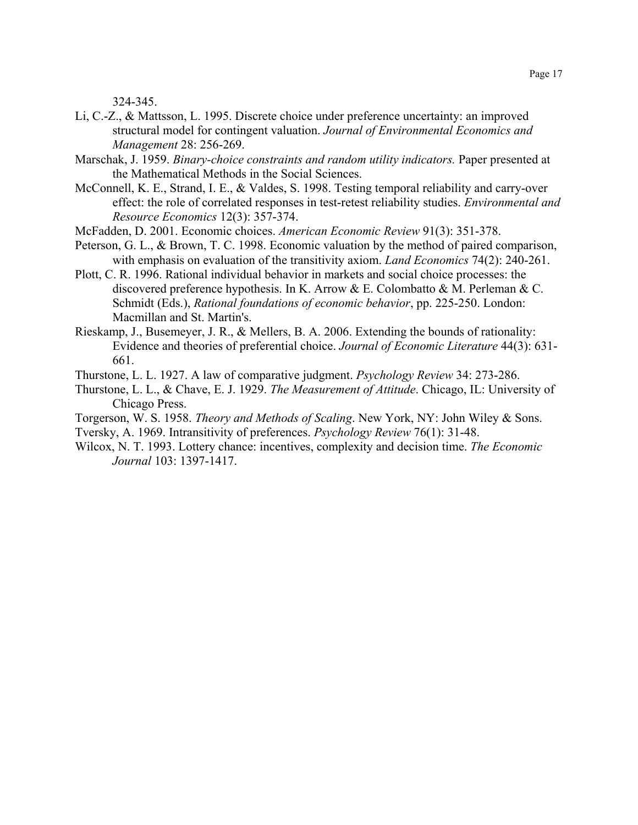324-345.

- Li, C.-Z., & Mattsson, L. 1995. Discrete choice under preference uncertainty: an improved structural model for contingent valuation. *Journal of Environmental Economics and Management* 28: 256-269.
- Marschak, J. 1959. *Binary-choice constraints and random utility indicators.* Paper presented at the Mathematical Methods in the Social Sciences.
- McConnell, K. E., Strand, I. E., & Valdes, S. 1998. Testing temporal reliability and carry-over effect: the role of correlated responses in test-retest reliability studies. *Environmental and Resource Economics* 12(3): 357-374.
- McFadden, D. 2001. Economic choices. *American Economic Review* 91(3): 351-378.
- Peterson, G. L., & Brown, T. C. 1998. Economic valuation by the method of paired comparison, with emphasis on evaluation of the transitivity axiom. *Land Economics* 74(2): 240-261.
- Plott, C. R. 1996. Rational individual behavior in markets and social choice processes: the discovered preference hypothesis. In K. Arrow & E. Colombatto & M. Perleman & C. Schmidt (Eds.), *Rational foundations of economic behavior*, pp. 225-250. London: Macmillan and St. Martin's.
- Rieskamp, J., Busemeyer, J. R., & Mellers, B. A. 2006. Extending the bounds of rationality: Evidence and theories of preferential choice. *Journal of Economic Literature* 44(3): 631- 661.
- Thurstone, L. L. 1927. A law of comparative judgment. *Psychology Review* 34: 273-286.
- Thurstone, L. L., & Chave, E. J. 1929. *The Measurement of Attitude*. Chicago, IL: University of Chicago Press.
- Torgerson, W. S. 1958. *Theory and Methods of Scaling*. New York, NY: John Wiley & Sons. Tversky, A. 1969. Intransitivity of preferences. *Psychology Review* 76(1): 31-48.
- Wilcox, N. T. 1993. Lottery chance: incentives, complexity and decision time. *The Economic Journal* 103: 1397-1417.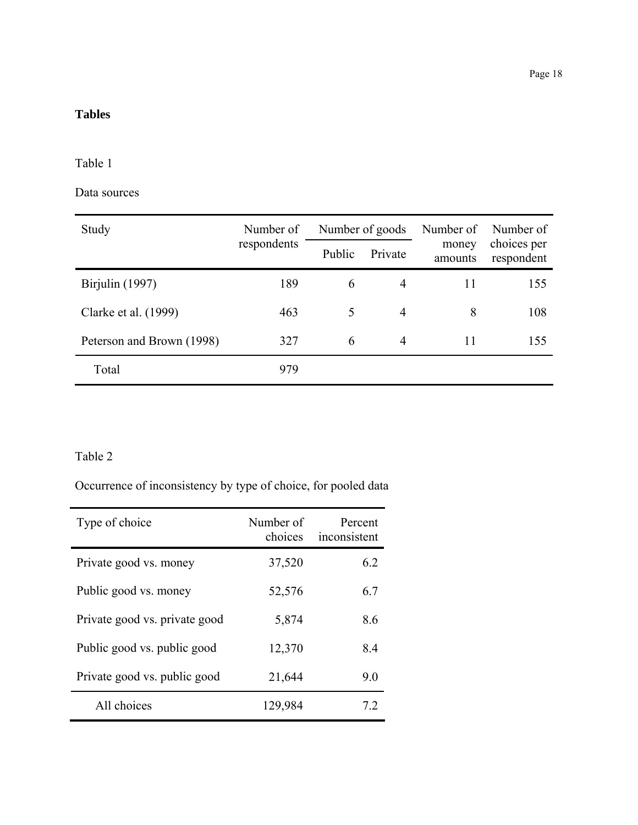# **Tables**

# Table 1

### Data sources

| Study                     | Number of   | Number of goods |                | Number of        | Number of                 |
|---------------------------|-------------|-----------------|----------------|------------------|---------------------------|
|                           | respondents | Public          | Private        | money<br>amounts | choices per<br>respondent |
| Birjulin (1997)           | 189         | 6               | 4              | 11               | 155                       |
| Clarke et al. (1999)      | 463         | 5               | 4              | 8                | 108                       |
| Peterson and Brown (1998) | 327         | 6               | $\overline{4}$ | 11               | 155                       |
| Total                     | 979         |                 |                |                  |                           |

# Table 2

Occurrence of inconsistency by type of choice, for pooled data

| Type of choice                | Number of<br>choices | Percent<br>inconsistent |
|-------------------------------|----------------------|-------------------------|
| Private good vs. money        | 37,520               | 6.2                     |
| Public good vs. money         | 52,576               | 67                      |
| Private good vs. private good | 5,874                | 8.6                     |
| Public good vs. public good   | 12,370               | 84                      |
| Private good vs. public good  | 21,644               | 90                      |
| All choices                   | 129,984              | 72                      |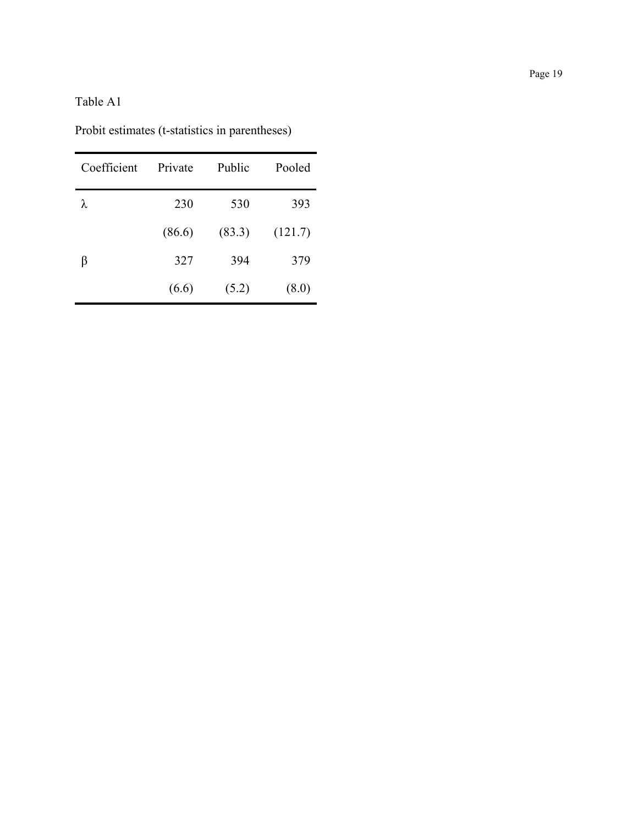Table A1

| Coefficient | Private | Public | Pooled  |
|-------------|---------|--------|---------|
| λ           | 230     | 530    | 393     |
|             | (86.6)  | (83.3) | (121.7) |
| ß           | 327     | 394    | 379     |
|             | (6.6)   | (5.2)  | (8.0)   |

Probit estimates (t-statistics in parentheses)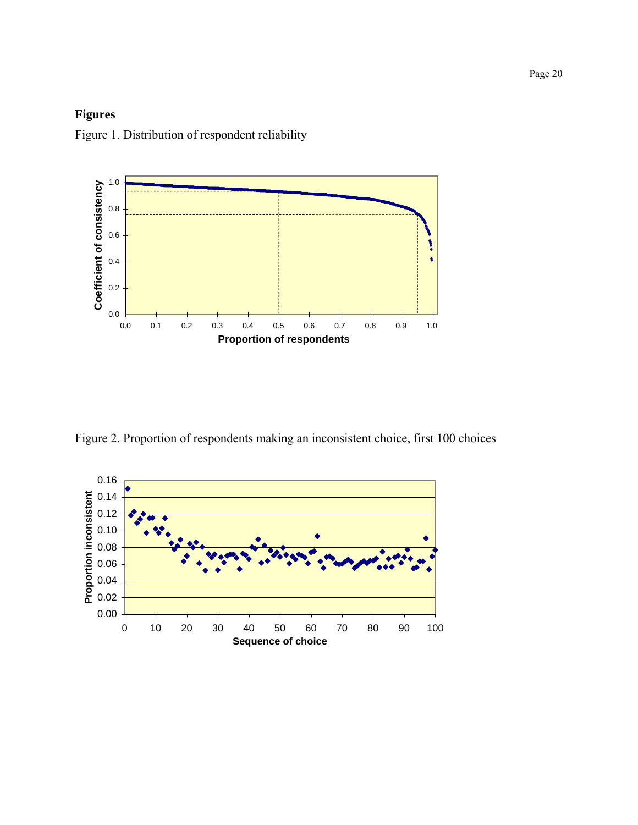### **Figures**

Figure 1. Distribution of respondent reliability



Figure 2. Proportion of respondents making an inconsistent choice, first 100 choices

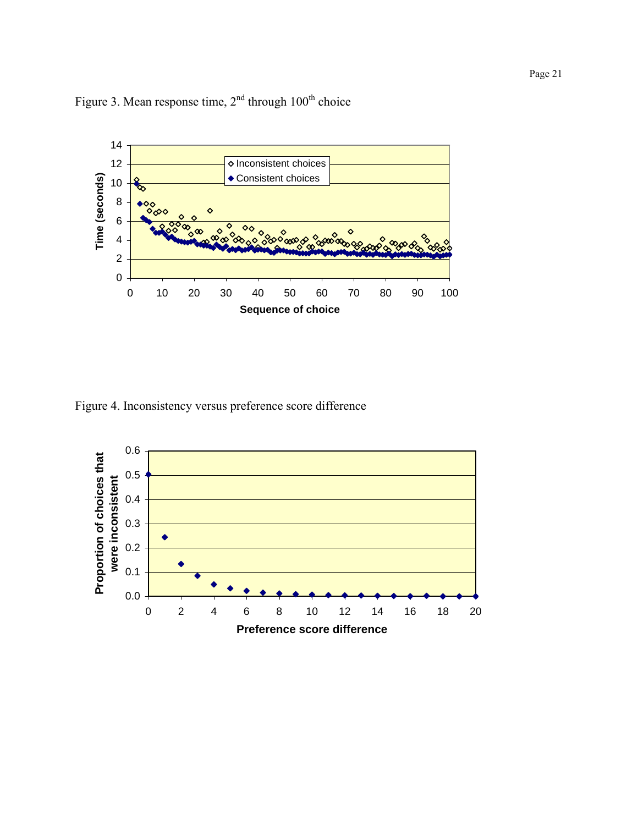

Figure 3. Mean response time,  $2<sup>nd</sup>$  through  $100<sup>th</sup>$  choice

Figure 4. Inconsistency versus preference score difference

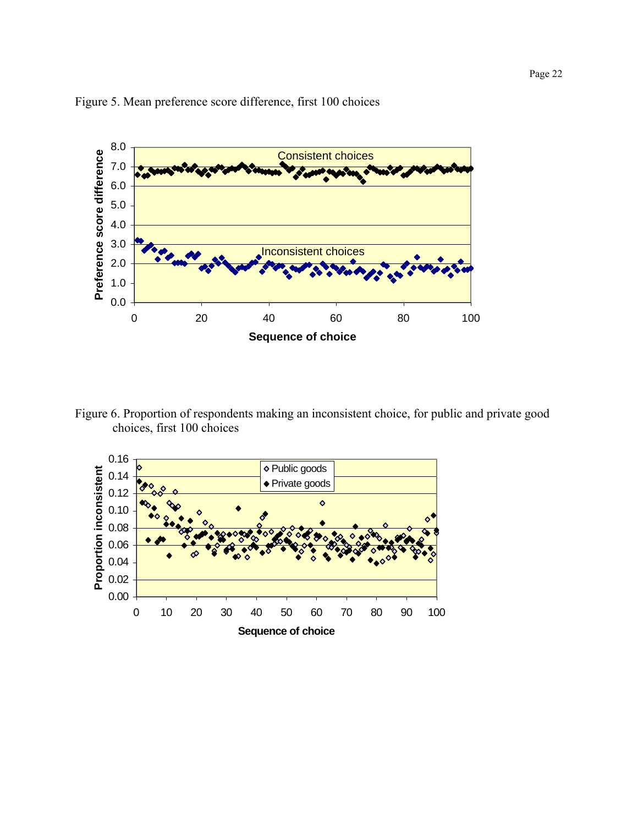

Figure 5. Mean preference score difference, first 100 choices

Figure 6. Proportion of respondents making an inconsistent choice, for public and private good choices, first 100 choices